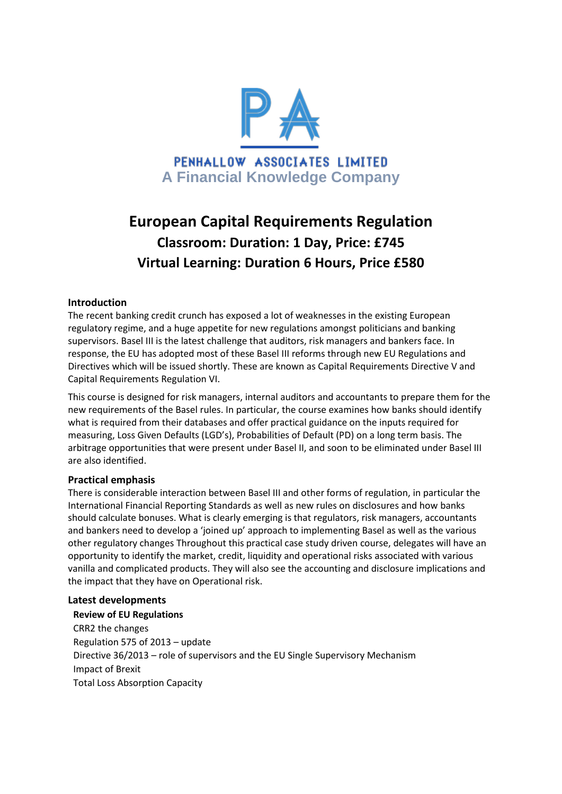

# **European Capital Requirements Regulation Classroom: Duration: 1 Day, Price: £745 Virtual Learning: Duration 6 Hours, Price £580**

## **Introduction**

The recent banking credit crunch has exposed a lot of weaknesses in the existing European regulatory regime, and a huge appetite for new regulations amongst politicians and banking supervisors. Basel III is the latest challenge that auditors, risk managers and bankers face. In response, the EU has adopted most of these Basel III reforms through new EU Regulations and Directives which will be issued shortly. These are known as Capital Requirements Directive V and Capital Requirements Regulation VI.

This course is designed for risk managers, internal auditors and accountants to prepare them for the new requirements of the Basel rules. In particular, the course examines how banks should identify what is required from their databases and offer practical guidance on the inputs required for measuring, Loss Given Defaults (LGD's), Probabilities of Default (PD) on a long term basis. The arbitrage opportunities that were present under Basel II, and soon to be eliminated under Basel III are also identified.

### **Practical emphasis**

There is considerable interaction between Basel III and other forms of regulation, in particular the International Financial Reporting Standards as well as new rules on disclosures and how banks should calculate bonuses. What is clearly emerging is that regulators, risk managers, accountants and bankers need to develop a 'joined up' approach to implementing Basel as well as the various other regulatory changes Throughout this practical case study driven course, delegates will have an opportunity to identify the market, credit, liquidity and operational risks associated with various vanilla and complicated products. They will also see the accounting and disclosure implications and the impact that they have on Operational risk.

### **Latest developments**

**Review of EU Regulations** CRR2 the changes Regulation 575 of 2013 – update Directive 36/2013 – role of supervisors and the EU Single Supervisory Mechanism Impact of Brexit Total Loss Absorption Capacity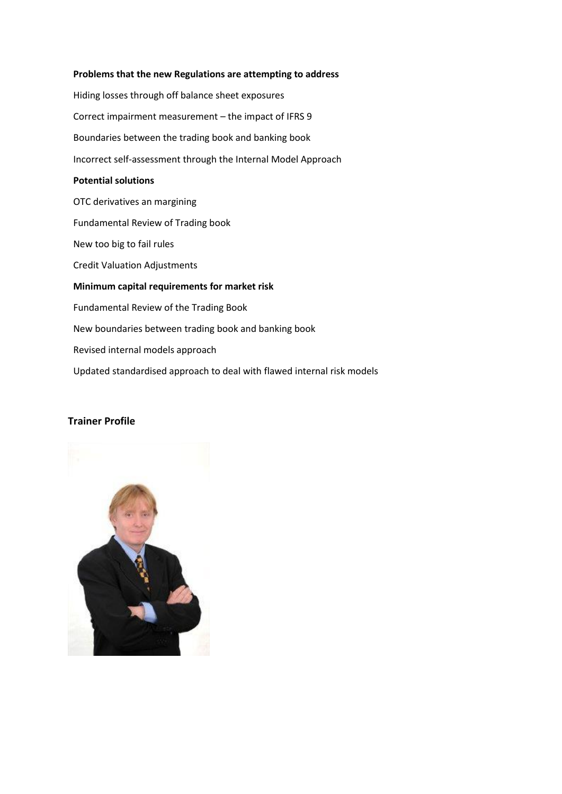#### **Problems that the new Regulations are attempting to address**

Hiding losses through off balance sheet exposures Correct impairment measurement – the impact of IFRS 9 Boundaries between the trading book and banking book Incorrect self-assessment through the Internal Model Approach **Potential solutions** OTC derivatives an margining Fundamental Review of Trading book New too big to fail rules Credit Valuation Adjustments **Minimum capital requirements for market risk** Fundamental Review of the Trading Book New boundaries between trading book and banking book Revised internal models approach Updated standardised approach to deal with flawed internal risk models

### **Trainer Profile**